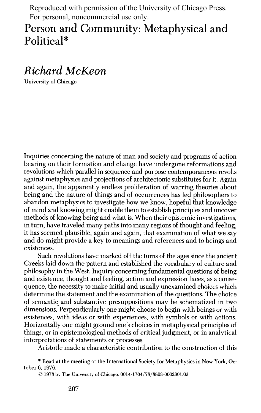Reproduced with permission of the University of Chicago Press. For personal, noncommercial use only.

## **Person and Community: Metaphysical and Political\***

## **Richard McKeon**

**University of Chicago** 

**Inquiries concerning the nature of man and society and programs of action bearing on their formation and change have undergone reformations and revolutions which parallel in sequence and purpose contemporaneous revolts against metaphysics and projections of architectonic substitutes for it. Again and again, the apparently endless proliferation of warring theories about being and the nature of things and of occurrences has led philosophers to abandon metaphysics to investigate how we know, hopeful that knowledge of mind and knowing might enable them to establish principles and uncover methods of knowing being and what is. When their epistemic investigations, in turn, have traveled many paths into many regions of thought and feeling, it has seemed plausible, again and again, that examination of what we say and do might provide a key to meanings and references and to beings and existences.** 

**Such revolutions have marked off the turns of the ages since the ancient Greeks laid down the pattern and established the vocabulary of culture and philosophy in the West. Inquiry concerning fundamental questions of being and existence, thought and feeling, action and expression faces, as a consequence, the necessity to make initial and usually unexamined choices which determine the statement and the examination of the questions. The choice of semantic and substantive presuppositions may be schematized in two dimensions. Perpendicularly one might choose to begin with beings or with existences, with ideas or with experiences, with symbols or with actions. Horizontally one might ground one's choices in metaphysical principles of things, or in epistemological methods of critical judgment, or in analytical interpretations of statements or processes.** 

**Aristotle made a characteristic contribution to the construction of this** 

**\* Read at the meeting of the International Society for Metaphysics in New York, October 6, 1976.** 

**(? 1978 by The University of Chicago. 0014-1704/78/8803-0002\$01.02**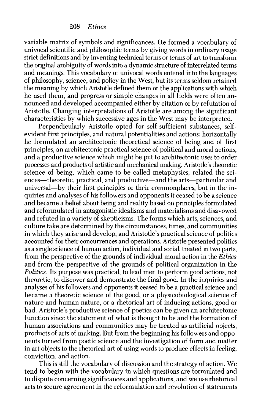**variable matrix of symbols and significances. He formed a vocabulary of univocal scientific and philosophic terms by giving words in ordinary usage strict definitions and by inventing technical terms or terms of art to transform the original ambiguity of words into a dynamic structure of interrelated terms and meanings. This vocabulary of univocal words entered into the languages of philosophy, science, and policy in the West, but its terms seldom retained the meaning by which Aristotle defined them or the applications with which he used them, and progress or simple changes in all fields were often announced and developed accompanied either by citation or by refutation of Aristotle. Changing interpretations of Aristotle are among the significant characteristics by which successive ages in the West may be interpreted.** 

**Perpendicularly Aristotle opted for self-sufficient substances, selfevident first principles, and natural potentialities and actions; horizontally he formulated an architectonic theoretical science of being and of first principles, an architectonic practical science of political and moral actions, and a productive science which might be put to architectonic uses to order processes and products of artistic and mechanical making. Aristotle's theoretic science of being, which came to be called metaphysics, related the sci**ences—theoretic, practical, and productive—and the arts—particular and universal—by their first principles or their commonplaces, but in the in**quiries and analyses of his followers and opponents it ceased to be a science and became a belief about being and reality based on principles formulated and reformulated in antagonistic idealisms and materialisms and disavowed and refuted in a variety of skepticisms. The forms which arts, sciences, and culture take are determined by the circumstances, times, and communities in which they arise and develop, and Aristotle's practical science of politics accounted for their concurrences and operations. Aristotle presented politics as a single science of human action, individual and social, treated in two parts, from the perspective of the grounds of individual moral action in the Ethics and from the perspective of the grounds of political organization in the Politics. Its purpose was practical, to lead men to perform good actions, not theoretic, to discover and demonstrate the final good. In the inquiries and analyses of his followers and opponents it ceased to be a practical science and became a theoretic science of the good, or a physicobiological science of nature and human nature, or a rhetorical art of inducing actions, good or bad. Aristotle's productive science of poetics can be given an architectonic function since the statement of what is thought to be and the formation of human associations and communities may be treated as artificial objects, products of arts of making. But from the beginning his followers and opponents turned from poetic science and the investigation of form and matter in art objects to the rhetorical art of using words to produce effects in feeling, conviction, and action.** 

**This is still the vocabulary of discussion and the strategy of action. We tend to begin with the vocabulary in which questions are formulated and to dispute concerning significances and applications, and we use rhetorical arts to secure agreement in the reformulation and revolution of statements**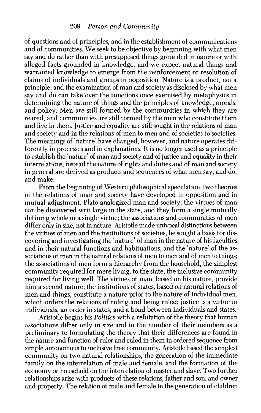**of questions and of principles, and in the establishment of communications and of communities. We seek to be objective by beginning with what men say and do rather than with presupposed things grounded in nature or with alleged facts grounded in knowledge, and we expect natural things and warranted knowledge to emerge from the reinforcement or resolution of claims of individuals and groups in opposition. Nature is a product, not a principle; and the examination of man and society as disclosed by what men**  say and do can take over the functions once exercised by metaphysics in **determining the nature of things and the principles of knowledge, morals, and policy. Men are still formed by the communities in which they are reared, and communities are still formed by the men who constitute them and live in them. Justice and equality are still sought in the relations of man and society and in the relations of men to men and of societies to societies. The meanings of 'nature' have changed, however, and nature operates differently in processes and in explanations. It is no longer used as a principle to establish the 'nature' of man and society and of justice and equality in their interrelations; instead the nature of rights and duties and of man and society in general are derived as products and sequences of what men say, and do, and make.** 

**From the beginning of Western philosophical speculation, two theories of the relations of man and society have developed in opposition and in mutual adjustment. Plato analogized man and society; the virtues of man can be discovered writ large in the state, and they form a single mutually defining whole or a single virtue; the associations and communities of men differ only in size, not in nature. Aristotle made univocal distinctions between the virtues of men and the institutions of societies; he sought a basis for discovering and investigating the 'nature' of man in the nature of his faculties and in their natural functions and habituations, and the 'nature' of the associations of men in the natural relations of men to men and of men to things; the associations of men form a hierarchy from the household, the simplest community required for mere living, to the state, the inclusive community required for living well. The virtues of man, based on his nature, provide him a second nature; the institutions of states, based on natural relations of men and things, constitute a nature prior to the nature of individual men, which orders the relations of ruling and being ruled; justice is a virtue in individuals, an order in states, and a bond between individuals and states.** 

**Aristotle begins his Politics with a refutation of the theory that human associations differ only in size and in the number of their members as a preliminary to formulating the theory that their differences are found in the nature and function of ruler and ruled in them in ordered sequence from simple autonomous to inclusive free community. Aristotle based the simplest community on two natural relationships, the generation of the immediate family on the interrelation of male and female, and the formation of the economy or household on the interrelation of master and slave. Two further relationships arise with products of these relations, father and son, and owner and property. The relation of male and female in the generation of children**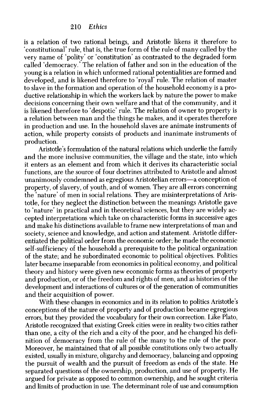**is a relation of two rational beings, and Aristotle likens it therefore to 'constitutional' rule, that is, the true form of the rule of many called by the very name of 'polity' or 'constitution' as contrasted to the degraded form called 'democracy.' The relation of father and son in the education of the young is a relation in which unformed rational potentialities are formed and developed, and is likened therefore to 'royal' rule. The relation of master to slave in the formation and operation of the household economy is a productive relationship in which the workers lack by nature the power to make decisions concerning their own welfare and that of the community, and it is likened therefore to 'despotic' rule. The relation of owner to property is a relation between man and the things he makes, and it operates therefore in production and use. In the household slaves are animate instruments of action, while property consists of products and inanimate instruments of production.** 

**Aristotle's formulation of the natural relations which underlie the family and the more inclusive communities, the village and the state, into which it enters as an element and from which it derives its characteristic social functions, are the source of four doctrines attributed to Aristotle and almost**  unanimously condemned as egregious Aristotelian errors—a conception of **property, of slavery, of youth, and of women. They are all errors concerning the 'nature' of men in social relations. They are misinterpretations of Aristotle, for they neglect the distinction between the meanings Aristotle gave to 'nature' in practical and in theoretical sciences, but they are widely accepted interpretations which take on characteristic forms in successive ages and make his distinctions available to frame new interpretations of man and society, science and knowledge, and action and statement. Aristotle differentiated the political order from the economic order; he made the economic self-sufficiency of the household a prerequisite to the political organization of the state; and he subordinated economic to political objectives. Politics later became inseparable from economics in political economy, and political theory and history were given new economic forms as theories of property and production, or of the freedom and rights of men, and as histories of the development and interactions of cultures or of the generation of communities and their acquisition of power.** 

**With these changes in economics and in its relation to politics Aristotle's conceptions of the nature of property and of production became egregious errors, but they provided the vocabulary for their own correction. Like Plato, Aristotle recognized that existing Greek cities were in reality two cities rather than one, a city of the rich and a city of the poor, and he changed his definition of democracy from the rule of the many to the rule of the poor. Moreover, he maintained that of all possible constitutions only two actually existed, usually in mixture, oligarchy and democracy, balancing and opposing the pursuit of wealth and the pursuit of freedom as ends of the state. He separated questions of the ownership, production, and use of property. He argued for private as opposed to common ownership, and he sought criteria and limits of production in use. The determinant role of use and consumption**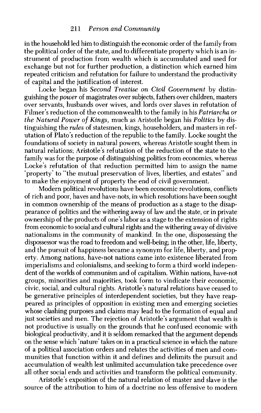**in the household led him to distinguish the economic order of the family from the political order of the state, and to differentiate property which is an instrument of production from wealth which is accumulated and used for exchange but not for further production, a distinction which earned him repeated criticism and refutation for failure to understand the productivity of capital and the justification of interest.** 

**Locke began his Second Treatise on Civil Government by distinguishing the power of magistrates over subjects, fathers over children, masters over servants, husbands over wives, and lords over slaves in refutation of Filmer's reduction of the commonwealth to the family in his Patriarcha or the Natural Power of Kings, much as Aristotle began his Politics by distinguishing the rules of statesmen, kings, householders, and masters in refutation of Plato's reduction of the republic to the family. Locke sought the foundations of society in natural powers, whereas Aristotle sought them in natural relations; Aristotle's refutation of the reduction of the state to the family was for the purpose of distinguishing politics from economics, whereas Locke's refutation of that reduction permitted him to assign the name 'property' to "the mutual preservation of lives, liberties, and estates" and to make the enjoyment of property the end of civil government.** 

**Modern political revolutions have been economic revolutions, conflicts of rich and poor, haves and have-nots, in which resolutions have been sought in common ownership of the means of production as a stage to the disappearance of politics and the withering away of law and the state, or in private ownership of the products of one's labor as a stage to the extension of rights from economic to social and cultural rights and the withering away of divisive nationalisms in the community of mankind. In the one, dispossessing the dispossessor was the road to freedom and well-being; in the other, life, liberty, and the pursuit of happiness became a synonym for life, liberty, and property. Among nations, have-not nations came into existence liberated from**  imperialisms and colonialisms, and seeking to form a third world indepen**dent of the worlds of communism and of capitalism. Within nations, have-not groups, minorities and majorities, took form to vindicate their economic, civic, social, and cultural rights. Aristotle's natural relations have ceased to be generative principles of interdependent societies, but they have reappeared as principles of opposition in existing men and emerging societies whose clashing purposes and claims may lead to the formation of equal and just societies and men. The rejection of Aristotle's argument that wealth is not productive is usually on the grounds that he confused economic with biological productivity, and it is seldom remarked that the argument depends on the sense which 'nature' takes on in a practical science in which the nature of a political association orders and relates the activities of men and communities that function within it and defines and delimits the pursuit and accumulation of wealth lest unlimited accumulation take precedence over all other social ends and activities and transform the political community.** 

**Aristotle's exposition of the natural relation of master and slave is the source of the attribution to him of a doctrine no less offensive to modern**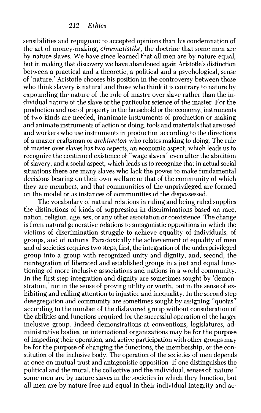**sensibilities and repugnant to accepted opinions than his condemnation of the art of money-making, chrematistike, the doctrine that some men are by nature slaves. We have since learned that all men are by nature equal, but in making that discovery we have abandoned again Aristotle's distinction between a practical and a theoretic, a political and a psychological, sense of 'nature.' Aristotle chooses his position in the controversy between those**  who think slavery is natural and those who think it is contrary to nature by **expounding the nature of the rule of master over slave rather than the individual nature of the slave or the particular science of the master. For the production and use of property in the household or the economy, instruments of two kinds are needed, inanimate instruments of production or making and animate instruments of action or doing, tools and materials that are used and workers who use instruments in production according to the directions of a master craftsman or architecton who relates making to doing. The rule of master over slaves has two aspects, an economic aspect, which leads us to recognize the continued existence of "wage slaves" even after the abolition of slavery, and a social aspect, which leads us to recognize that in actual social situations there are many slaves who lack the power to make fundamental decisions bearing on their own welfare or that of the community of which they are members, and that communities of the unprivileged are formed on the model or as instances of communities of the dispossessed.** 

**The vocabulary of natural relations in ruling and being ruled supplies the distinctions of kinds of suppression in discriminations based on race, nation, religion, age, sex, or any other association or coexistence. The change is from natural generative relations to antagonistic oppositions in which the victims of discrimination struggle to achieve equality of individuals, of groups, and of nations. Paradoxically the achievement of equality of men and of societies requires two steps, first, the integration of the underprivileged group into a group with recognized unity and dignity, and, second, the reintegration of liberated and established groups in a just and equal functioning of more inclusive associations and nations in a world community. In the first step integration and dignity are sometimes sought by 'demonstration,' not in the sense of proving utility or worth, but in the sense of exhibiting and calling attention to injustice and inequality. In the second step desegregation and community are sometimes sought by assigning "quotas" according to the number of the disfavored group without consideration of the abilities and functions required for the successful operation of the larger inclusive group. Indeed demonstrations at conventions, legislatures, administrative bodies, or international organizations may be for the purpose of impeding their operation, and active participation with other groups may be for the purpose of changing the functions, the membership, or the constitution of the inclusive body. The operation of the societies of men depends at once on mutual trust and antagonistic opposition. If one distinguishes the political and the moral, the collective and the individual, senses of 'nature, some men are by nature slaves in the societies in which they function, but all men are by nature free and equal in their individual integrity and ac-**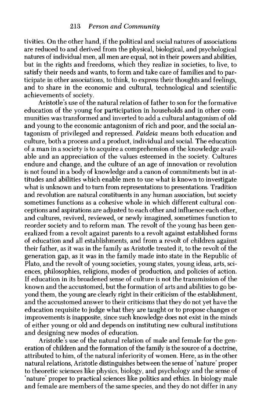**tivities. On the other hand, if the political and social natures of associations are reduced to and derived from the physical, biological, and psychological natures of individual men, all men are equal, not in their powers and abilities, but in the rights and freedoms, which they realize in societies, to live, to satisfy their needs and wants, to form and take care of families and to participate in other associations, to think, to express their thoughts and feelings, and to share in the economic and cultural, technological and scientific achievements of society.** 

**Aristotle's use of the natural relation of father to son for the formative education of the young for participation in households and in other communities was transformed and inverted to add a cultural antagonism of old and young to the economic antagonism of rich and poor, and the social antagonism of privileged and repressed. Paideia means both education and culture, both a process and a product, individual and social. The education of a man in a society is to acquire a comprehension of the knowledge available and an appreciation of the values esteemed in the society. Cultures endure and change, and the culture of an age of innovation or revolution is not found in a body of knowledge and a canon of commitments but in attitudes and abilities which enable men to use what is known to investigate what is unknown and to turn from representations to presentations. Tradition and revolution are natural constituents in any human association, but society sometimes functions as a cohesive whole in which different cultural conceptions and aspirations are adjusted to each other and influence each other, and cultures, revived, reviewed, or newly imagined, sometimes function to reorder society and to reform man. The revolt of the young has been generalized from a revolt against parents to a revolt against established forms of education and all establishments, and from a revolt of children against their father, as it was in the family as Aristotle treated it, to the revolt of the generation gap, as it was in the family made into state in the Republic of Plato, and the revolt of young societies, young states, young ideas, arts, sciences, philosophies, religions, modes of production, and policies of action. If education in its broadened sense of culture is not the transmission of the known and the accustomed, but the formation of arts and abilities to go beyond them, the young are clearly right in their criticism of the establishment, and the accustomed answer to their criticisms that they do not yet have the education requisite to judge what they are taught or to propose changes or improvements is inapposite, since such knowledge does not exist in the minds of either young or old and depends on instituting new cultural institutions and designing new modes of education.** 

**Aristotle's use of the natural relation of male and female for the generation of children and the formation of the family is the source of a doctrine, attributed to him, of the natural inferiority of women. Here, as in the other natural relations, Aristotle distinguishes between the sense of 'nature' proper to theoretic sciences like physics, biology, and psychology and the sense of 'nature' proper to practical sciences like politics and ethics. In biology male and female are members of the same species, and they do not differ in any**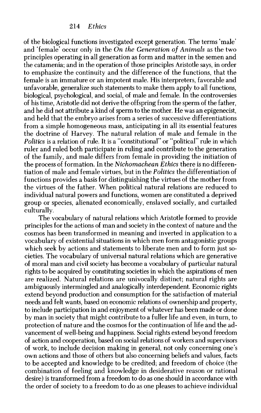**of the biological functions investigated except generation. The terms 'male' and 'female' occur only in the On the Generation of Animals as the two principles operating in all generation as form and matter in the semen and the catamenia; and in the operation of those principles Aristotle says, in order to emphasize the continuity and the difference of the functions, that the female is an immature or an impotent male. His interpreters, favorable and unfavorable, generalize such statements to make them apply to all functions, biological, psychological, and social, of male and female. In the controversies of his time, Aristotle did not derive the offspring from the sperm of the father, and he did not attribute a kind of sperm to the mother. He was an epigenecist, and held that the embryo arises from a series of successive differentiations from a simple homogeneous mass, anticipating in all its essential features the doctrine of Harvey. The natural relation of male and female in the Politics is a relation of rule. It is a "constitutional" or "political" rule in which ruler and ruled both participate in ruling and contribute to the generation of the family, and male differs from female in providing the initiation of the process of formation. In the Nichomachean Ethics there is no differentiation of male and female virtues, but in the Politics the differentiation of functions provides a basis for distinguishing the virtues of the mother from the virtues of the father. When political natural relations are reduced to individual natural powers and functions, women are constituted a deprived group or species, alienated economically, enslaved socially, and curtailed culturally.** 

**The vocabulary of natural relations which Aristotle formed to provide principles for the actions of man and society in the context of nature and the cosmos has been transformed in meaning and inverted in application to a vocabulary of existential situations in which men form antagonistic groups**  which seek by actions and statements to liberate men and to form just so**cieties. The vocabulary of universal natural relations which are generative of moral man and civil society has become a vocabulary of particular natural rights to be acquired by constituting societies in which the aspirations of men are realized. Natural relations are univocally distinct; natural rights are ambiguously intermingled and analogically interdependent. Economic rights extend beyond production and consumption for the satisfaction of material needs and felt wants, based on economic relations of ownership and property, to include participation in and enjoyment of whatever has been made or done by man in society that might contribute to a fuller life and even, in turn, to protection of nature and the cosmos for the continuation of life and the advancement of well-being and happiness. Social rights extend beyond freedom of action and cooperation, based on social relations of workers and supervisors of work, to include decision making in general, not only concerning one's own actions and those of others but also concerning beliefs and values, facts to be accepted and knowledge to be credited; and freedom of choice (the combination of feeling and knowledge in desiderative reason or rational desire) is transformed from a freedom to do as one should in accordance with the order of society to a freedom to do as one pleases to achieve individual**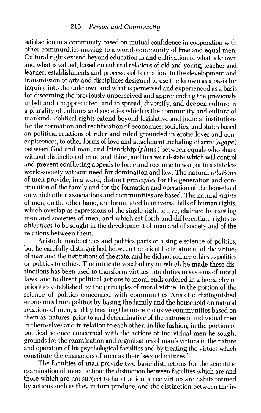**satisfaction in a community based on mutual confidence in cooperation with other communities moving to a world-community of free and equal men. Cultural rights extend beyond education in and cultivation of what is known and what is valued, based on cultural relations of old and young, teacher and learner, establishments and processes of formation, to the development and transmission of arts and disciplines designed to use the known as a basis for inquiry into the unknown and what is perceived and experienced as a basis for discerning the previously unperceived and apprehending the previously unfelt and unappreciated, and to spread, diversify, and deepen culture in a plurality of cultures and societies which is the community and culture of mankind. Political rights extend beyond legislative and judicial institutions for the formation and rectification of economies, societies, and states based on political relations of ruler and ruled grounded in erotic loves and concupiscences, to other forms of love and attachment including charity (agape) between God and man, and friendship (philia) between equals who share without distinction of mine and thine, and to a world-state which will control and prevent conflicting appeals to force and recourse to war, or to a stateless world-society without need for domination and law. The natural relations of men provide, in a word, distinct principles for the generation and continuation of the family and for the formation and operation of the household on which other associations and communities are based. The natural rights of men, on the other hand, are formulated in universal bills of human rights, which overlap as expressions of the single right to live, claimed by existing men and societies of men, and which set forth and differentiate rights as objectives to be sought in the development of man and of society and of the relations between them.** 

**Aristotle made ethics and politics parts of a single science of politics, but he carefully distinguished between the scientific treatment of the virtues of man and the institutions of the state, and he did not reduce ethics to politics or politics to ethics. The intricate vocabulary in which he made these distinctions has been used to transform virtues into duties in systems of moral laws, and to direct political actions to moral ends ordered in a hierarchy of priorities established by the principles of moral virtue. In the portion of the science of politics concerned with communities Aristotle distinguished economics from politics by basing the family and the household on natural relations of men, and by treating the more inclusive communities based on them as 'natures' prior to and determinative of the natures of individual men in themselves and in relation to each other. In like fashion, in the portion of political science concerned with the actions of individual men he sought grounds for the examination and organization of man's virtues in the nature and operation of his psychological faculties and by treating the virtues which constitute the characters of men as their 'second natures.'** 

**The faculties of man provide two basic distinctions for the scientific examination of moral action: the distinction between faculties which are and those which are not subject to habituation, since virtues are habits formed by actions such as they in turn produce, and the distinction between the ir-**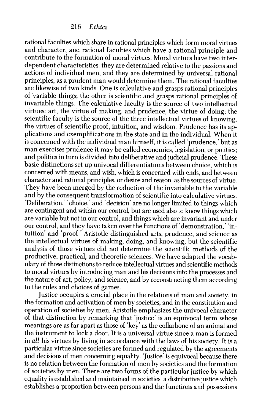**rational faculties which share in rational principles which form moral virtues and character, and rational faculties which have a rational principle and contribute to the formation of moral virtues. Moral virtues have two interdependent characteristics: they are determined relative to the passions and actions of individual men, and they are determined by universal rational principles, as a prudent man would determine them. The rational faculties are likewise of two kinds. One is calculative and grasps rational principles of 'variable things; the other is scientific and grasps rational principles of invariable things. The calculative faculty is the source of two intellectual virtues: art, the virtue of making, and prudence, the virtue of doing; the scientific faculty is the source of the three intellectual virtues of knowing, the virtues of scientific proof, intuition, and wisdom. Prudence has its applications and exemplifications in the state and in the individual. When it is concerned with the individual man himself, it is called 'prudence,' but as man exercises prudence it may be called economics, legislation, or politics; and politics in turn is divided into deliberative and judicial prudence. These basic distinctions set up univocal differentiations between choice, which is concerned with means, and wish, which is concerned with ends, and between character and rational principles, or desire and reason, as the sources of virtue. They have been merged by the reduction of the invariable to the variable and by the consequent transformation of scientific into calculative virtues. 'Deliberation,' 'choice,' and 'decision' are no longer limited to things which are contingent and within our control, but are used also to know things which are variable but not in our control, and things which are invariant and under our control, and they have taken over the functions of 'demonstration,' 'intuition' and 'proof.' Aristotle distinguished arts, prudence, and science as the intellectual virtues of making, doing, and knowing, but the scientific analysis of those virtues did not determine the scientific methods of the productive, practical, and theoretic sciences. We have adapted the vocabulary of those distinctions to reduce intellectual virtues and scientific methods to moral virtues by introducing man and his decisions into the processes and the nature of art, policy, and science, and by reconstructing them according to the rules and choices of games.** 

**Justice occupies a crucial place in the relations of man and society, in the formation and activation of men by societies, and in the constitution and operation of societies by men. Aristotle emphasizes the univocal character of that distinction by remarking that 'justice' is an equivocal term whose meanings are as far apart as those of 'key' as the collarbone of an animal and the instrument to lock a door. It is a universal virtue since a man is formed in all his virtues by living in accordance with the laws of his society. It is a particular virtue since societies are formed and regulated by the agreements and decisions of men concerning equality. 'Justice' is equivocal because there is no relation between the formation of men by societies and the formation of societies by men. There are two forms of the particular justice by which equality is established and maintained in societies: a distributive justice which establishes a proportion between persons and the functions and possessions**